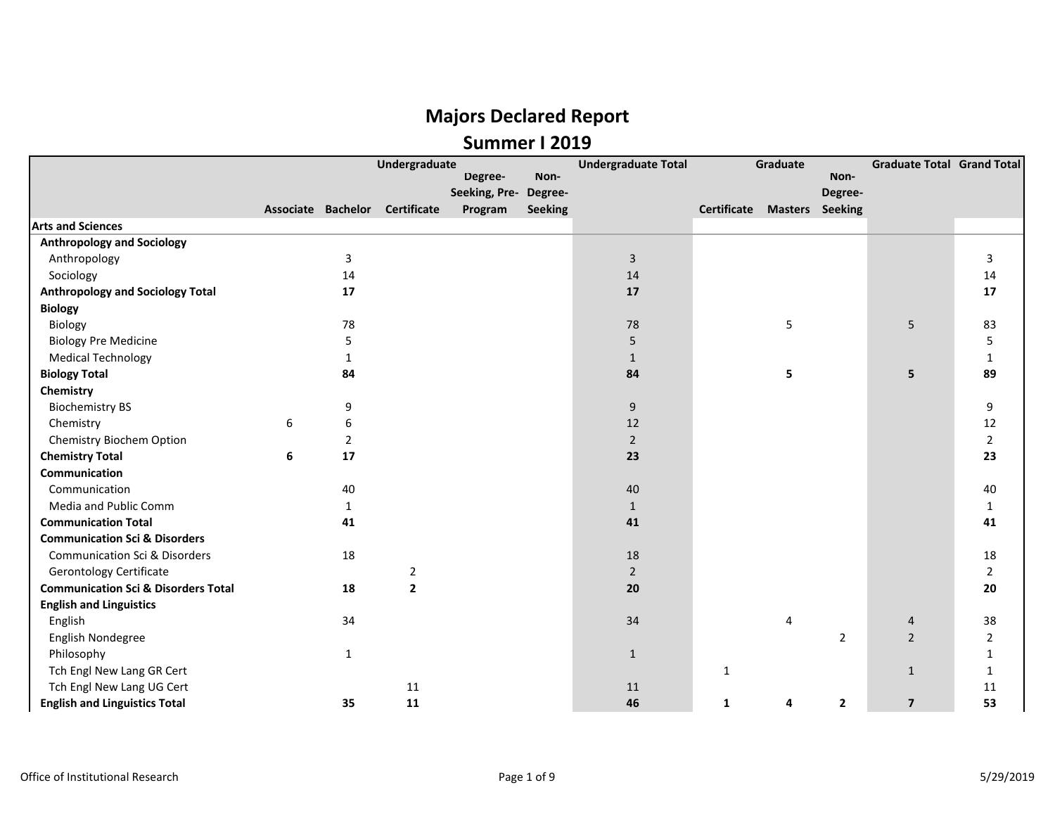|                                                |   |                | Undergraduate                  |                       |                | <b>Undergraduate Total</b> |                                    | Graduate |                | <b>Graduate Total Grand Total</b> |                |
|------------------------------------------------|---|----------------|--------------------------------|-----------------------|----------------|----------------------------|------------------------------------|----------|----------------|-----------------------------------|----------------|
|                                                |   |                |                                | Degree-               | Non-           |                            |                                    |          | Non-           |                                   |                |
|                                                |   |                |                                | Seeking, Pre- Degree- |                |                            |                                    |          | Degree-        |                                   |                |
|                                                |   |                | Associate Bachelor Certificate | Program               | <b>Seeking</b> |                            | <b>Certificate Masters Seeking</b> |          |                |                                   |                |
| <b>Arts and Sciences</b>                       |   |                |                                |                       |                |                            |                                    |          |                |                                   |                |
| <b>Anthropology and Sociology</b>              |   |                |                                |                       |                |                            |                                    |          |                |                                   |                |
| Anthropology                                   |   | 3              |                                |                       |                | $\overline{3}$             |                                    |          |                |                                   | 3              |
| Sociology                                      |   | 14             |                                |                       |                | 14                         |                                    |          |                |                                   | 14             |
| <b>Anthropology and Sociology Total</b>        |   | 17             |                                |                       |                | 17                         |                                    |          |                |                                   | 17             |
| <b>Biology</b>                                 |   |                |                                |                       |                |                            |                                    |          |                |                                   |                |
| Biology                                        |   | 78             |                                |                       |                | 78                         |                                    | 5        |                | 5                                 | 83             |
| <b>Biology Pre Medicine</b>                    |   | 5              |                                |                       |                | 5                          |                                    |          |                |                                   | 5              |
| <b>Medical Technology</b>                      |   | $\mathbf{1}$   |                                |                       |                | $\mathbf{1}$               |                                    |          |                |                                   | 1              |
| <b>Biology Total</b>                           |   | 84             |                                |                       |                | 84                         |                                    | 5        |                | 5                                 | 89             |
| Chemistry                                      |   |                |                                |                       |                |                            |                                    |          |                |                                   |                |
| <b>Biochemistry BS</b>                         |   | 9              |                                |                       |                | $\boldsymbol{9}$           |                                    |          |                |                                   | 9              |
| Chemistry                                      | 6 | 6              |                                |                       |                | 12                         |                                    |          |                |                                   | 12             |
| Chemistry Biochem Option                       |   | $\overline{2}$ |                                |                       |                | $\overline{2}$             |                                    |          |                |                                   | $\overline{2}$ |
| <b>Chemistry Total</b>                         | 6 | 17             |                                |                       |                | 23                         |                                    |          |                |                                   | 23             |
| Communication                                  |   |                |                                |                       |                |                            |                                    |          |                |                                   |                |
| Communication                                  |   | 40             |                                |                       |                | 40                         |                                    |          |                |                                   | 40             |
| Media and Public Comm                          |   | $\mathbf{1}$   |                                |                       |                | $\mathbf{1}$               |                                    |          |                |                                   | 1              |
| <b>Communication Total</b>                     |   | 41             |                                |                       |                | 41                         |                                    |          |                |                                   | 41             |
| <b>Communication Sci &amp; Disorders</b>       |   |                |                                |                       |                |                            |                                    |          |                |                                   |                |
| <b>Communication Sci &amp; Disorders</b>       |   | 18             |                                |                       |                | 18                         |                                    |          |                |                                   | 18             |
| <b>Gerontology Certificate</b>                 |   |                | $\overline{2}$                 |                       |                | $\overline{2}$             |                                    |          |                |                                   | $\overline{2}$ |
| <b>Communication Sci &amp; Disorders Total</b> |   | 18             | $\overline{2}$                 |                       |                | 20                         |                                    |          |                |                                   | 20             |
| <b>English and Linguistics</b>                 |   |                |                                |                       |                |                            |                                    |          |                |                                   |                |
| English                                        |   | 34             |                                |                       |                | 34                         |                                    | 4        |                | 4                                 | 38             |
| English Nondegree                              |   |                |                                |                       |                |                            |                                    |          | $\overline{2}$ | $\overline{2}$                    | 2              |
| Philosophy                                     |   | $\mathbf{1}$   |                                |                       |                | $\mathbf{1}$               |                                    |          |                |                                   |                |
| Tch Engl New Lang GR Cert                      |   |                |                                |                       |                |                            | 1                                  |          |                | $\mathbf{1}$                      |                |
| Tch Engl New Lang UG Cert                      |   |                | 11                             |                       |                | 11                         |                                    |          |                |                                   | 11             |
| <b>English and Linguistics Total</b>           |   | 35             | 11                             |                       |                | 46                         | 1                                  | 4        | $\overline{2}$ | $\overline{7}$                    | 53             |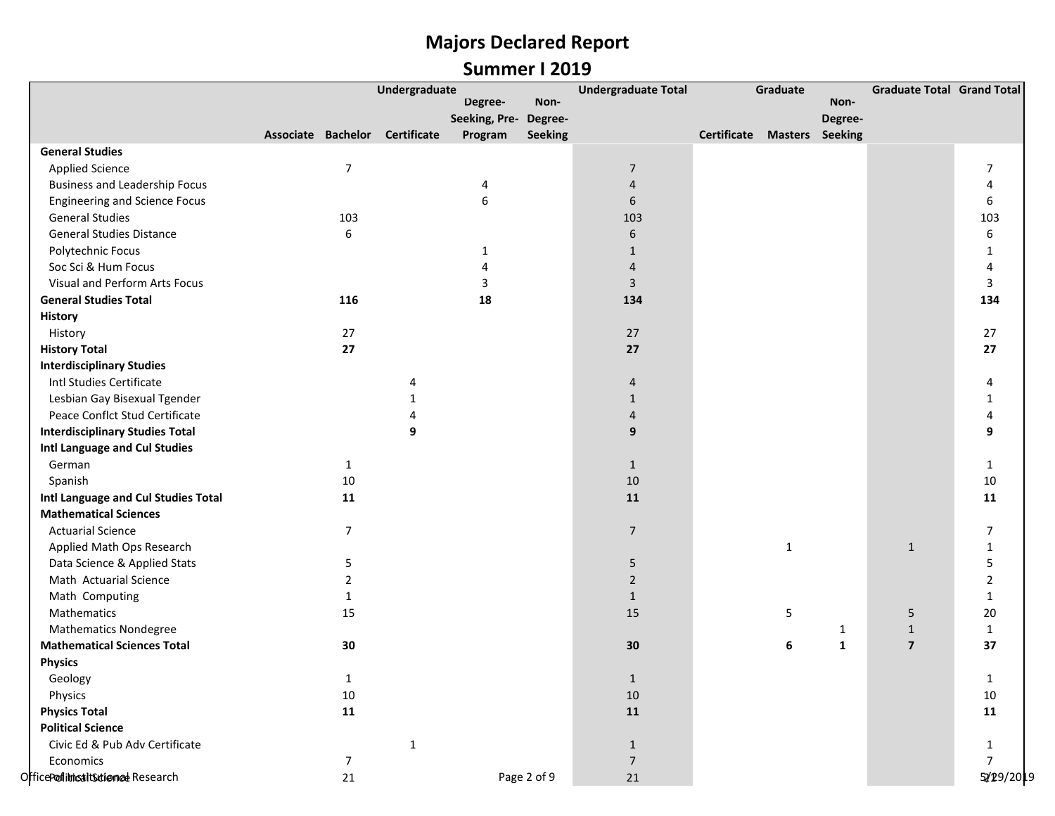|                                        |                | Undergraduate                  |                       |                | <b>Undergraduate Total</b> |                                    | Graduate     |              | <b>Graduate Total Grand Total</b> |                |
|----------------------------------------|----------------|--------------------------------|-----------------------|----------------|----------------------------|------------------------------------|--------------|--------------|-----------------------------------|----------------|
|                                        |                |                                | Degree-               | Non-           |                            |                                    |              | Non-         |                                   |                |
|                                        |                |                                | Seeking, Pre- Degree- |                |                            |                                    |              | Degree-      |                                   |                |
|                                        |                | Associate Bachelor Certificate | Program               | <b>Seeking</b> |                            | <b>Certificate Masters Seeking</b> |              |              |                                   |                |
| <b>General Studies</b>                 |                |                                |                       |                |                            |                                    |              |              |                                   |                |
| <b>Applied Science</b>                 | $\overline{7}$ |                                |                       |                | $\overline{7}$             |                                    |              |              |                                   | 7              |
| <b>Business and Leadership Focus</b>   |                |                                | 4                     |                | $\overline{4}$             |                                    |              |              |                                   | 4              |
| <b>Engineering and Science Focus</b>   |                |                                | 6                     |                | 6                          |                                    |              |              |                                   | 6              |
| <b>General Studies</b>                 | 103            |                                |                       |                | 103                        |                                    |              |              |                                   | 103            |
| <b>General Studies Distance</b>        | 6              |                                |                       |                | 6                          |                                    |              |              |                                   | 6              |
| Polytechnic Focus                      |                |                                | 1                     |                | $\mathbf{1}$               |                                    |              |              |                                   | 1              |
| Soc Sci & Hum Focus                    |                |                                | 4                     |                | $\overline{4}$             |                                    |              |              |                                   | 4              |
| Visual and Perform Arts Focus          |                |                                | 3                     |                | 3                          |                                    |              |              |                                   | 3              |
| <b>General Studies Total</b>           | 116            |                                | 18                    |                | 134                        |                                    |              |              |                                   | 134            |
| <b>History</b>                         |                |                                |                       |                |                            |                                    |              |              |                                   |                |
| History                                | 27             |                                |                       |                | 27                         |                                    |              |              |                                   | 27             |
| <b>History Total</b>                   | 27             |                                |                       |                | 27                         |                                    |              |              |                                   | 27             |
| <b>Interdisciplinary Studies</b>       |                |                                |                       |                |                            |                                    |              |              |                                   |                |
| Intl Studies Certificate               |                | $\Delta$                       |                       |                | $\overline{4}$             |                                    |              |              |                                   | 4              |
| Lesbian Gay Bisexual Tgender           |                |                                |                       |                | $\mathbf{1}$               |                                    |              |              |                                   | $\mathbf{1}$   |
| Peace Conflct Stud Certificate         |                |                                |                       |                | $\overline{4}$             |                                    |              |              |                                   | 4              |
| <b>Interdisciplinary Studies Total</b> |                | 9                              |                       |                | 9                          |                                    |              |              |                                   | 9              |
| Intl Language and Cul Studies          |                |                                |                       |                |                            |                                    |              |              |                                   |                |
| German                                 | $\mathbf{1}$   |                                |                       |                | $\mathbf{1}$               |                                    |              |              |                                   | $\mathbf{1}$   |
| Spanish                                | 10             |                                |                       |                | 10                         |                                    |              |              |                                   | $10\,$         |
| Intl Language and Cul Studies Total    | 11             |                                |                       |                | 11                         |                                    |              |              |                                   | 11             |
| <b>Mathematical Sciences</b>           |                |                                |                       |                |                            |                                    |              |              |                                   |                |
| <b>Actuarial Science</b>               | $\overline{7}$ |                                |                       |                | $\overline{7}$             |                                    |              |              |                                   | 7              |
| Applied Math Ops Research              |                |                                |                       |                |                            |                                    | $\mathbf{1}$ |              | $\mathbf{1}$                      | 1              |
| Data Science & Applied Stats           | 5              |                                |                       |                | 5                          |                                    |              |              |                                   | 5              |
| Math Actuarial Science                 | 2              |                                |                       |                | $\overline{2}$             |                                    |              |              |                                   | 2              |
| Math Computing                         | $\mathbf{1}$   |                                |                       |                | $\mathbf{1}$               |                                    |              |              |                                   | 1              |
| Mathematics                            | 15             |                                |                       |                | 15                         |                                    | 5            |              | 5                                 | 20             |
| <b>Mathematics Nondegree</b>           |                |                                |                       |                |                            |                                    |              | $\mathbf{1}$ | $\mathbf{1}$                      | $\mathbf{1}$   |
| <b>Mathematical Sciences Total</b>     | 30             |                                |                       |                | 30                         |                                    | 6            | $\mathbf{1}$ | $\overline{\mathbf{z}}$           | 37             |
| <b>Physics</b>                         |                |                                |                       |                |                            |                                    |              |              |                                   |                |
| Geology                                | $\mathbf{1}$   |                                |                       |                | $\mathbf{1}$               |                                    |              |              |                                   | 1              |
| Physics                                | 10             |                                |                       |                | $10\,$                     |                                    |              |              |                                   | 10             |
| <b>Physics Total</b>                   | 11             |                                |                       |                | ${\bf 11}$                 |                                    |              |              |                                   | 11             |
| <b>Political Science</b>               |                |                                |                       |                |                            |                                    |              |              |                                   |                |
| Civic Ed & Pub Adv Certificate         |                | $\mathbf{1}$                   |                       |                | $\mathbf{1}$               |                                    |              |              |                                   | $\mathbf{1}$   |
| Economics                              | $\overline{7}$ |                                |                       |                | $\overline{7}$             |                                    |              |              |                                   | $\overline{7}$ |
| OfficePoflitricaltSutionnedeResearch   | 21             |                                |                       | Page 2 of 9    | $21\,$                     |                                    |              |              |                                   | 5/19/2019      |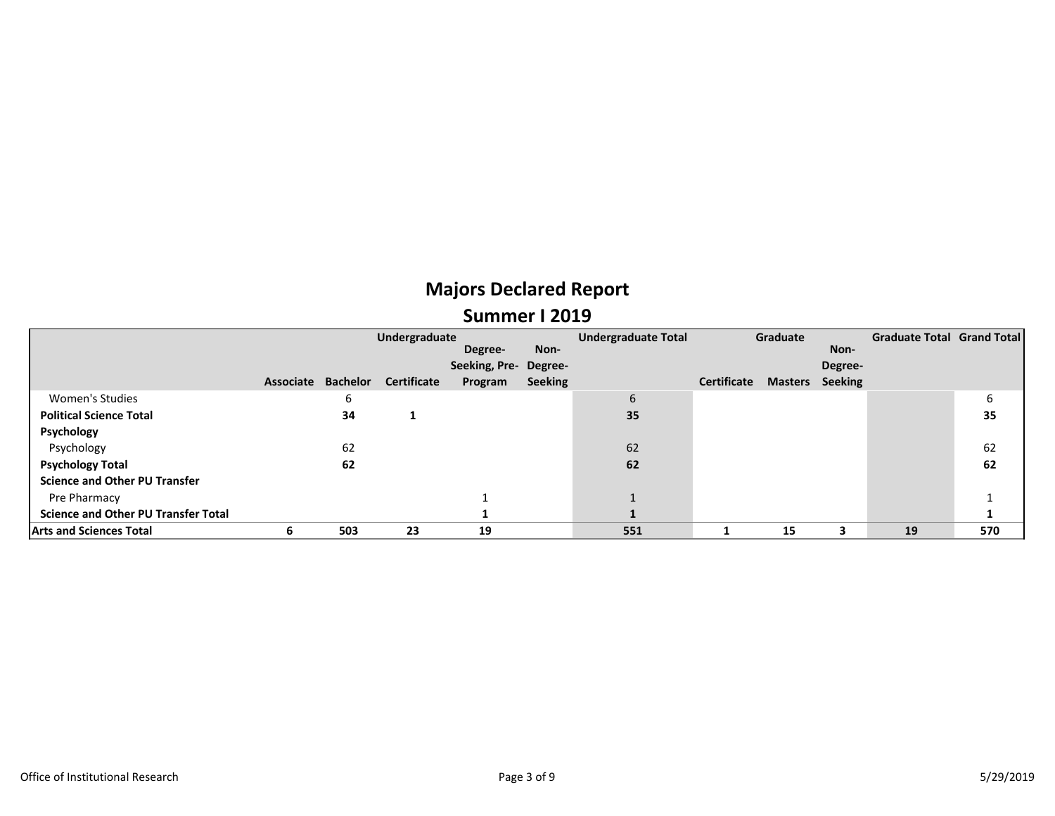### **Majors Declared Report Summer I 2019**

|                                            | Undergraduate |          |                    |                       |                | <b>Undergraduate Total</b> | Graduate    |                |                | Graduate Total Grand Total |     |
|--------------------------------------------|---------------|----------|--------------------|-----------------------|----------------|----------------------------|-------------|----------------|----------------|----------------------------|-----|
|                                            |               |          |                    | Degree-               | Non-           |                            |             |                | Non-           |                            |     |
|                                            |               |          |                    | Seeking, Pre- Degree- |                |                            |             |                | Degree-        |                            |     |
|                                            | Associate     | Bachelor | <b>Certificate</b> | Program               | <b>Seeking</b> |                            | Certificate | <b>Masters</b> | <b>Seeking</b> |                            |     |
| <b>Women's Studies</b>                     |               | ь        |                    |                       |                | 6                          |             |                |                |                            | 6   |
| <b>Political Science Total</b>             |               | 34       |                    |                       |                | 35                         |             |                |                |                            | 35  |
| Psychology                                 |               |          |                    |                       |                |                            |             |                |                |                            |     |
| Psychology                                 |               | 62       |                    |                       |                | 62                         |             |                |                |                            | 62  |
| <b>Psychology Total</b>                    |               | 62       |                    |                       |                | 62                         |             |                |                |                            | 62  |
| <b>Science and Other PU Transfer</b>       |               |          |                    |                       |                |                            |             |                |                |                            |     |
| Pre Pharmacy                               |               |          |                    |                       |                |                            |             |                |                |                            |     |
| <b>Science and Other PU Transfer Total</b> |               |          |                    |                       |                |                            |             |                |                |                            |     |
| <b>Arts and Sciences Total</b>             | ь             | 503      | 23                 | 19                    |                | 551                        |             | 15             |                | 19                         | 570 |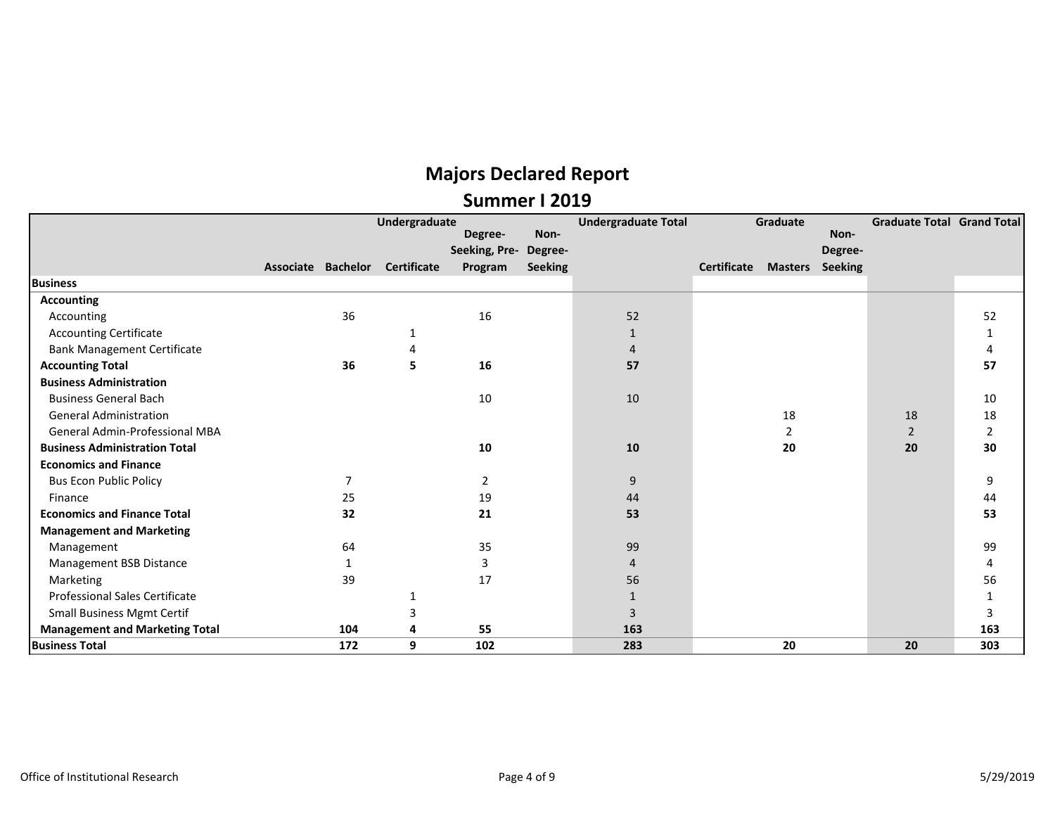|                                       |                    | Undergraduate      | Degree-       | Non-           | <b>Undergraduate Total</b> |             | Graduate       | Non-           | <b>Graduate Total Grand Total</b> |     |
|---------------------------------------|--------------------|--------------------|---------------|----------------|----------------------------|-------------|----------------|----------------|-----------------------------------|-----|
|                                       |                    |                    | Seeking, Pre- | Degree-        |                            |             |                | Degree-        |                                   |     |
|                                       | Associate Bachelor | <b>Certificate</b> | Program       | <b>Seeking</b> |                            | Certificate | <b>Masters</b> | <b>Seeking</b> |                                   |     |
| <b>Business</b>                       |                    |                    |               |                |                            |             |                |                |                                   |     |
| <b>Accounting</b>                     |                    |                    |               |                |                            |             |                |                |                                   |     |
| Accounting                            | 36                 |                    | 16            |                | 52                         |             |                |                |                                   | 52  |
| <b>Accounting Certificate</b>         |                    | 1                  |               |                |                            |             |                |                |                                   | 1   |
| <b>Bank Management Certificate</b>    |                    | 4                  |               |                | 4                          |             |                |                |                                   | 4   |
| <b>Accounting Total</b>               | 36                 | 5                  | 16            |                | 57                         |             |                |                |                                   | 57  |
| <b>Business Administration</b>        |                    |                    |               |                |                            |             |                |                |                                   |     |
| <b>Business General Bach</b>          |                    |                    | 10            |                | 10                         |             |                |                |                                   | 10  |
| <b>General Administration</b>         |                    |                    |               |                |                            |             | 18             |                | 18                                | 18  |
| <b>General Admin-Professional MBA</b> |                    |                    |               |                |                            |             | 2              |                | $\overline{2}$                    | 2   |
| <b>Business Administration Total</b>  |                    |                    | 10            |                | 10                         |             | 20             |                | 20                                | 30  |
| <b>Economics and Finance</b>          |                    |                    |               |                |                            |             |                |                |                                   |     |
| <b>Bus Econ Public Policy</b>         |                    |                    | 2             |                | 9                          |             |                |                |                                   | 9   |
| Finance                               | 25                 |                    | 19            |                | 44                         |             |                |                |                                   | 44  |
| <b>Economics and Finance Total</b>    | 32                 |                    | 21            |                | 53                         |             |                |                |                                   | 53  |
| <b>Management and Marketing</b>       |                    |                    |               |                |                            |             |                |                |                                   |     |
| Management                            | 64                 |                    | 35            |                | 99                         |             |                |                |                                   | 99  |
| Management BSB Distance               | 1                  |                    | 3             |                | 4                          |             |                |                |                                   | 4   |
| Marketing                             | 39                 |                    | 17            |                | 56                         |             |                |                |                                   | 56  |
| <b>Professional Sales Certificate</b> |                    |                    |               |                |                            |             |                |                |                                   | 1   |
| <b>Small Business Mgmt Certif</b>     |                    | 3                  |               |                | 3                          |             |                |                |                                   | 3   |
| <b>Management and Marketing Total</b> | 104                | 4                  | 55            |                | 163                        |             |                |                |                                   | 163 |
| <b>Business Total</b>                 | 172                | 9                  | 102           |                | 283                        |             | 20             |                | 20                                | 303 |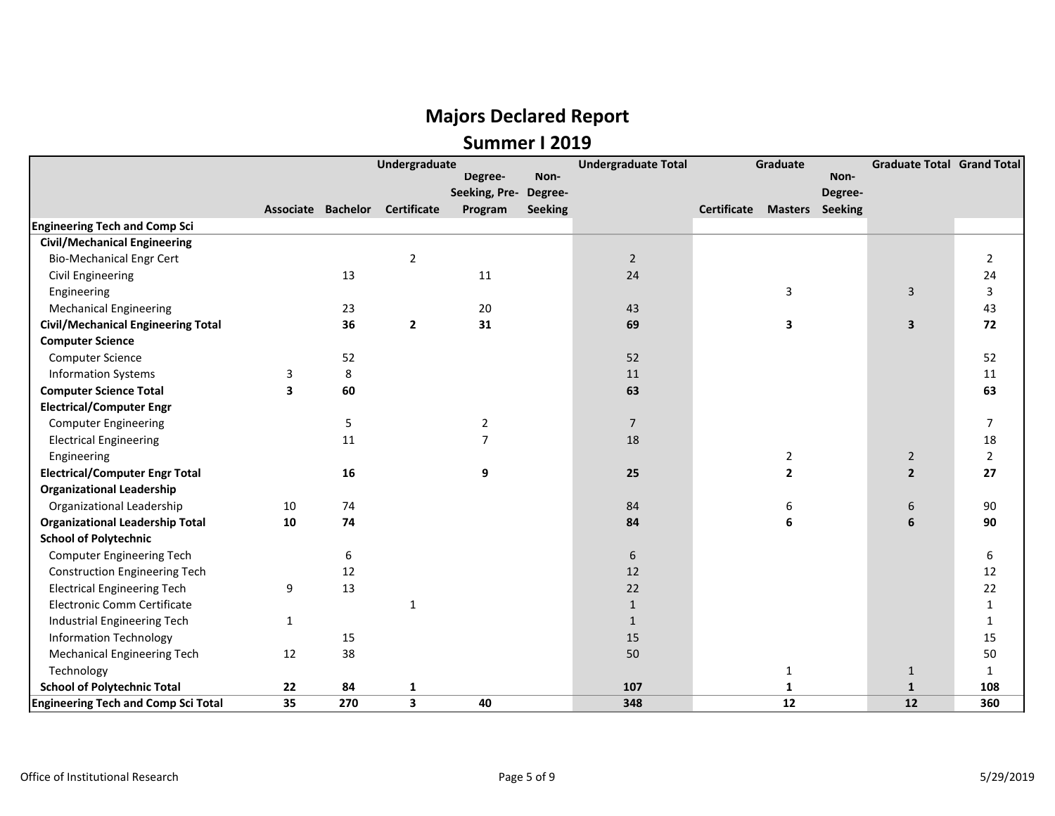|                                            |              |                    | <b>Undergraduate</b> |                |                | <b>Undergraduate Total</b> |                    | Graduate               |         | <b>Graduate Total Grand Total</b> |                |
|--------------------------------------------|--------------|--------------------|----------------------|----------------|----------------|----------------------------|--------------------|------------------------|---------|-----------------------------------|----------------|
|                                            |              |                    |                      | Degree-        | Non-           |                            |                    |                        | Non-    |                                   |                |
|                                            |              |                    |                      | Seeking, Pre-  | Degree-        |                            |                    |                        | Degree- |                                   |                |
|                                            |              | Associate Bachelor | Certificate          | Program        | <b>Seeking</b> |                            | <b>Certificate</b> | <b>Masters</b> Seeking |         |                                   |                |
| <b>Engineering Tech and Comp Sci</b>       |              |                    |                      |                |                |                            |                    |                        |         |                                   |                |
| <b>Civil/Mechanical Engineering</b>        |              |                    |                      |                |                |                            |                    |                        |         |                                   |                |
| <b>Bio-Mechanical Engr Cert</b>            |              |                    | $\mathbf 2$          |                |                | $\overline{2}$             |                    |                        |         |                                   | $\overline{2}$ |
| <b>Civil Engineering</b>                   |              | 13                 |                      | 11             |                | 24                         |                    |                        |         |                                   | 24             |
| Engineering                                |              |                    |                      |                |                |                            |                    | 3                      |         | 3                                 | 3              |
| <b>Mechanical Engineering</b>              |              | 23                 |                      | 20             |                | 43                         |                    |                        |         |                                   | 43             |
| <b>Civil/Mechanical Engineering Total</b>  |              | 36                 | $\overline{2}$       | 31             |                | 69                         |                    | 3                      |         | $\overline{\mathbf{3}}$           | 72             |
| <b>Computer Science</b>                    |              |                    |                      |                |                |                            |                    |                        |         |                                   |                |
| Computer Science                           |              | 52                 |                      |                |                | 52                         |                    |                        |         |                                   | 52             |
| <b>Information Systems</b>                 | 3            | 8                  |                      |                |                | 11                         |                    |                        |         |                                   | 11             |
| <b>Computer Science Total</b>              | 3            | 60                 |                      |                |                | 63                         |                    |                        |         |                                   | 63             |
| <b>Electrical/Computer Engr</b>            |              |                    |                      |                |                |                            |                    |                        |         |                                   |                |
| <b>Computer Engineering</b>                |              | 5                  |                      | $\overline{2}$ |                | $\overline{7}$             |                    |                        |         |                                   | $\overline{7}$ |
| <b>Electrical Engineering</b>              |              | 11                 |                      | $\overline{7}$ |                | 18                         |                    |                        |         |                                   | 18             |
| Engineering                                |              |                    |                      |                |                |                            |                    | $\overline{2}$         |         | $\overline{2}$                    | $\overline{2}$ |
| <b>Electrical/Computer Engr Total</b>      |              | 16                 |                      | 9              |                | 25                         |                    | $\mathbf{2}$           |         | $\overline{2}$                    | 27             |
| <b>Organizational Leadership</b>           |              |                    |                      |                |                |                            |                    |                        |         |                                   |                |
| Organizational Leadership                  | 10           | 74                 |                      |                |                | 84                         |                    | 6                      |         | 6                                 | 90             |
| <b>Organizational Leadership Total</b>     | 10           | 74                 |                      |                |                | 84                         |                    | 6                      |         | 6                                 | 90             |
| <b>School of Polytechnic</b>               |              |                    |                      |                |                |                            |                    |                        |         |                                   |                |
| <b>Computer Engineering Tech</b>           |              | 6                  |                      |                |                | $\boldsymbol{6}$           |                    |                        |         |                                   | 6              |
| <b>Construction Engineering Tech</b>       |              | 12                 |                      |                |                | 12                         |                    |                        |         |                                   | 12             |
| <b>Electrical Engineering Tech</b>         | 9            | 13                 |                      |                |                | 22                         |                    |                        |         |                                   | 22             |
| Electronic Comm Certificate                |              |                    | $\mathbf{1}$         |                |                | $\mathbf{1}$               |                    |                        |         |                                   | $\mathbf{1}$   |
| Industrial Engineering Tech                | $\mathbf{1}$ |                    |                      |                |                | $\mathbf{1}$               |                    |                        |         |                                   | $\mathbf{1}$   |
| <b>Information Technology</b>              |              | 15                 |                      |                |                | 15                         |                    |                        |         |                                   | 15             |
| <b>Mechanical Engineering Tech</b>         | 12           | 38                 |                      |                |                | 50                         |                    |                        |         |                                   | 50             |
| Technology                                 |              |                    |                      |                |                |                            |                    | $\mathbf{1}$           |         | $\mathbf{1}$                      | $\mathbf{1}$   |
| <b>School of Polytechnic Total</b>         | 22           | 84                 | 1                    |                |                | 107                        |                    | 1                      |         | $\mathbf{1}$                      | 108            |
| <b>Engineering Tech and Comp Sci Total</b> | 35           | 270                | 3                    | 40             |                | 348                        |                    | 12                     |         | 12                                | 360            |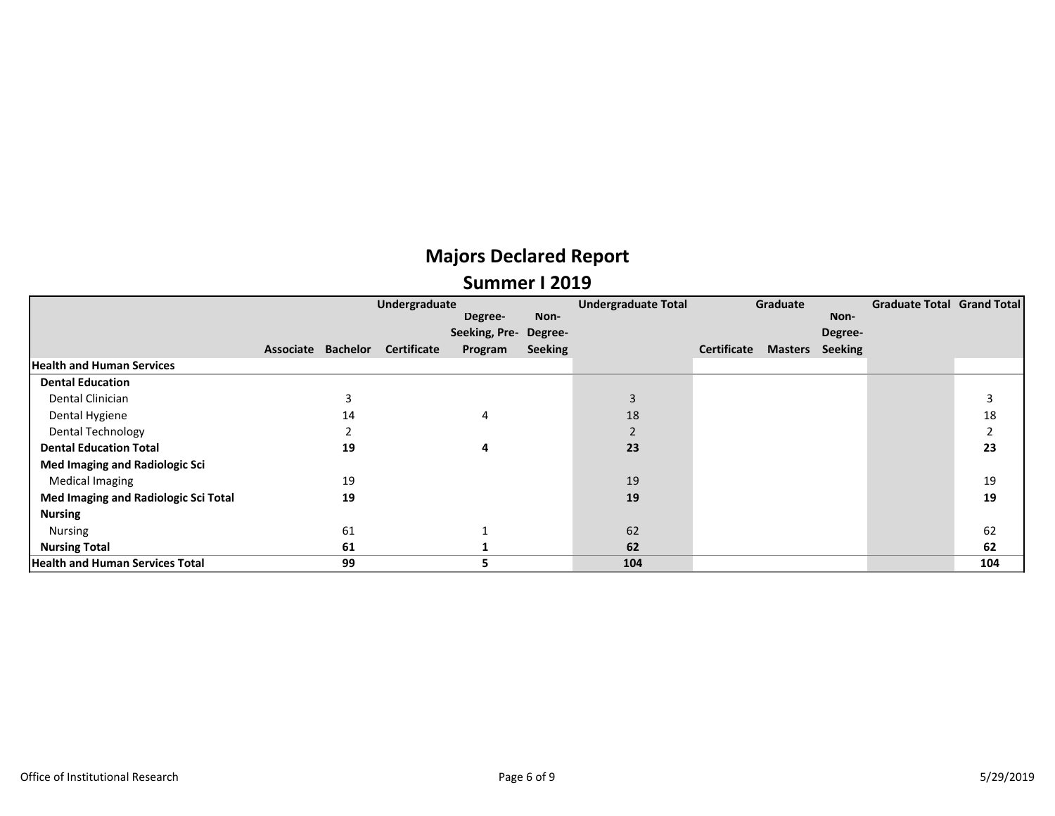|                                        |                    | Undergraduate      |               |                | <b>Undergraduate Total</b> |             | Graduate       |                | Graduate Total Grand Total |     |
|----------------------------------------|--------------------|--------------------|---------------|----------------|----------------------------|-------------|----------------|----------------|----------------------------|-----|
|                                        |                    |                    | Degree-       | Non-           |                            |             |                | Non-           |                            |     |
|                                        |                    |                    | Seeking, Pre- | Degree-        |                            |             |                | Degree-        |                            |     |
|                                        | Associate Bachelor | <b>Certificate</b> | Program       | <b>Seeking</b> |                            | Certificate | <b>Masters</b> | <b>Seeking</b> |                            |     |
| <b>Health and Human Services</b>       |                    |                    |               |                |                            |             |                |                |                            |     |
| <b>Dental Education</b>                |                    |                    |               |                |                            |             |                |                |                            |     |
| Dental Clinician                       |                    |                    |               |                | 3                          |             |                |                |                            |     |
| Dental Hygiene                         | 14                 |                    | 4             |                | 18                         |             |                |                |                            | 18  |
| <b>Dental Technology</b>               |                    |                    |               |                |                            |             |                |                |                            |     |
| <b>Dental Education Total</b>          | 19                 |                    | 4             |                | 23                         |             |                |                |                            | 23  |
| Med Imaging and Radiologic Sci         |                    |                    |               |                |                            |             |                |                |                            |     |
| <b>Medical Imaging</b>                 | 19                 |                    |               |                | 19                         |             |                |                |                            | 19  |
| Med Imaging and Radiologic Sci Total   | 19                 |                    |               |                | 19                         |             |                |                |                            | 19  |
| <b>Nursing</b>                         |                    |                    |               |                |                            |             |                |                |                            |     |
| Nursing                                | 61                 |                    |               |                | 62                         |             |                |                |                            | 62  |
| <b>Nursing Total</b>                   | 61                 |                    |               |                | 62                         |             |                |                |                            | 62  |
| <b>Health and Human Services Total</b> | 99                 |                    | כ             |                | 104                        |             |                |                |                            | 104 |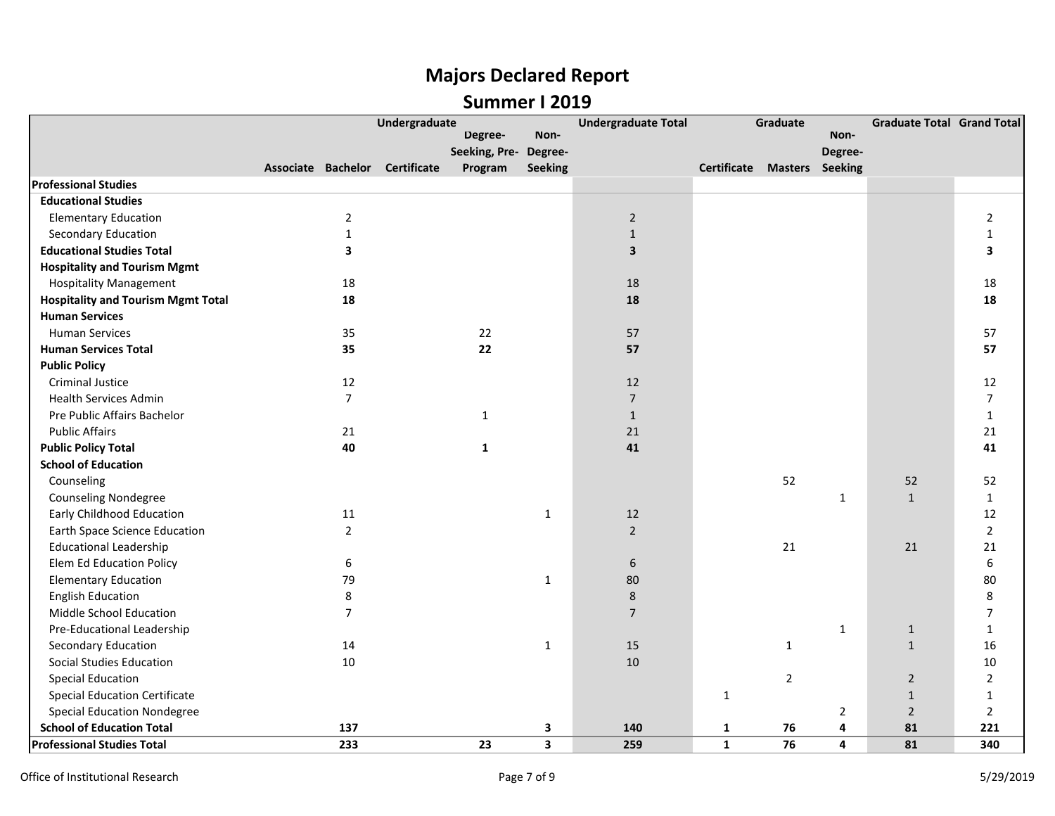### **Majors Declared Report Summer I 2019**

|                                           |                         | Undergraduate                  |                       |                         | <b>Undergraduate Total</b> |              | Graduate               |                         | <b>Graduate Total Grand Total</b> |                |
|-------------------------------------------|-------------------------|--------------------------------|-----------------------|-------------------------|----------------------------|--------------|------------------------|-------------------------|-----------------------------------|----------------|
|                                           |                         |                                | Degree-               | Non-                    |                            |              |                        | Non-                    |                                   |                |
|                                           |                         |                                | Seeking, Pre- Degree- |                         |                            |              |                        | Degree-                 |                                   |                |
|                                           |                         | Associate Bachelor Certificate | Program               | <b>Seeking</b>          |                            | Certificate  | <b>Masters</b> Seeking |                         |                                   |                |
| <b>Professional Studies</b>               |                         |                                |                       |                         |                            |              |                        |                         |                                   |                |
| <b>Educational Studies</b>                |                         |                                |                       |                         |                            |              |                        |                         |                                   |                |
| <b>Elementary Education</b>               | $\overline{2}$          |                                |                       |                         | $\overline{2}$             |              |                        |                         |                                   | $\overline{2}$ |
| <b>Secondary Education</b>                | $\mathbf{1}$            |                                |                       |                         | $\mathbf{1}$               |              |                        |                         |                                   | 1              |
| <b>Educational Studies Total</b>          | $\overline{\mathbf{3}}$ |                                |                       |                         | 3                          |              |                        |                         |                                   | 3              |
| <b>Hospitality and Tourism Mgmt</b>       |                         |                                |                       |                         |                            |              |                        |                         |                                   |                |
| <b>Hospitality Management</b>             | 18                      |                                |                       |                         | 18                         |              |                        |                         |                                   | 18             |
| <b>Hospitality and Tourism Mgmt Total</b> | 18                      |                                |                       |                         | 18                         |              |                        |                         |                                   | 18             |
| <b>Human Services</b>                     |                         |                                |                       |                         |                            |              |                        |                         |                                   |                |
| <b>Human Services</b>                     | 35                      |                                | 22                    |                         | 57                         |              |                        |                         |                                   | 57             |
| <b>Human Services Total</b>               | 35                      |                                | 22                    |                         | 57                         |              |                        |                         |                                   | 57             |
| <b>Public Policy</b>                      |                         |                                |                       |                         |                            |              |                        |                         |                                   |                |
| <b>Criminal Justice</b>                   | 12                      |                                |                       |                         | 12                         |              |                        |                         |                                   | 12             |
| <b>Health Services Admin</b>              | $\overline{7}$          |                                |                       |                         | $\overline{7}$             |              |                        |                         |                                   | $\overline{7}$ |
| Pre Public Affairs Bachelor               |                         |                                | 1                     |                         | $\mathbf{1}$               |              |                        |                         |                                   | $\mathbf{1}$   |
| <b>Public Affairs</b>                     | 21                      |                                |                       |                         | 21                         |              |                        |                         |                                   | 21             |
| <b>Public Policy Total</b>                | 40                      |                                | 1                     |                         | 41                         |              |                        |                         |                                   | 41             |
| <b>School of Education</b>                |                         |                                |                       |                         |                            |              |                        |                         |                                   |                |
| Counseling                                |                         |                                |                       |                         |                            |              | 52                     |                         | 52                                | 52             |
| <b>Counseling Nondegree</b>               |                         |                                |                       |                         |                            |              |                        | $\mathbf{1}$            | $\mathbf{1}$                      | $\mathbf{1}$   |
| Early Childhood Education                 | 11                      |                                |                       | $\mathbf{1}$            | 12                         |              |                        |                         |                                   | 12             |
| <b>Earth Space Science Education</b>      | $\overline{2}$          |                                |                       |                         | $\overline{2}$             |              |                        |                         |                                   | $\overline{2}$ |
| <b>Educational Leadership</b>             |                         |                                |                       |                         |                            |              | 21                     |                         | 21                                | 21             |
| <b>Elem Ed Education Policy</b>           | 6                       |                                |                       |                         | $\boldsymbol{6}$           |              |                        |                         |                                   | 6              |
| <b>Elementary Education</b>               | 79                      |                                |                       | $\mathbf{1}$            | 80                         |              |                        |                         |                                   | 80             |
| <b>English Education</b>                  | 8                       |                                |                       |                         | 8                          |              |                        |                         |                                   | 8              |
| Middle School Education                   | $\overline{7}$          |                                |                       |                         | $\overline{7}$             |              |                        |                         |                                   | 7              |
| Pre-Educational Leadership                |                         |                                |                       |                         |                            |              |                        | 1                       | $\mathbf{1}$                      | 1              |
| <b>Secondary Education</b>                | 14                      |                                |                       | $\mathbf{1}$            | 15                         |              | $\mathbf{1}$           |                         | $\mathbf{1}$                      | 16             |
| <b>Social Studies Education</b>           | 10                      |                                |                       |                         | 10                         |              |                        |                         |                                   | $10\,$         |
| <b>Special Education</b>                  |                         |                                |                       |                         |                            |              | $\overline{2}$         |                         | $\overline{2}$                    | $\overline{2}$ |
| <b>Special Education Certificate</b>      |                         |                                |                       |                         |                            | $\mathbf{1}$ |                        |                         | $1\,$                             | $\mathbf{1}$   |
| <b>Special Education Nondegree</b>        |                         |                                |                       |                         |                            |              |                        | 2                       | $\sqrt{2}$                        | $\overline{2}$ |
| <b>School of Education Total</b>          | 137                     |                                |                       | 3                       | 140                        | $\mathbf{1}$ | 76                     | 4                       | 81                                | 221            |
| <b>Professional Studies Total</b>         | 233                     |                                | 23                    | $\overline{\mathbf{3}}$ | 259                        | $\mathbf{1}$ | 76                     | $\overline{\mathbf{4}}$ | 81                                | 340            |
|                                           |                         |                                |                       |                         |                            |              |                        |                         |                                   |                |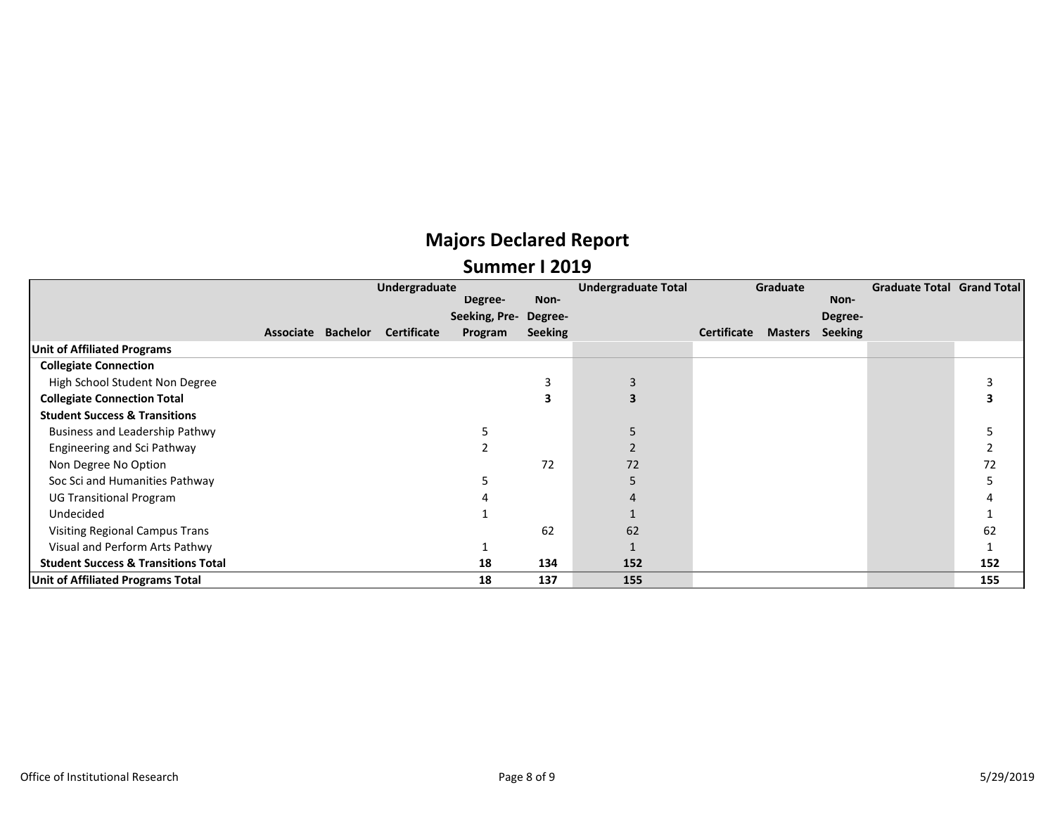|                                                |                    | Undergraduate |                    |               |                | <b>Undergraduate Total</b> |             | Graduate       |                | <b>Graduate Total Grand Total</b> |     |
|------------------------------------------------|--------------------|---------------|--------------------|---------------|----------------|----------------------------|-------------|----------------|----------------|-----------------------------------|-----|
|                                                |                    |               |                    | Degree-       | Non-           |                            |             |                | Non-           |                                   |     |
|                                                |                    |               |                    | Seeking, Pre- | Degree-        |                            |             |                | Degree-        |                                   |     |
|                                                | Associate Bachelor |               | <b>Certificate</b> | Program       | <b>Seeking</b> |                            | Certificate | <b>Masters</b> | <b>Seeking</b> |                                   |     |
| <b>Unit of Affiliated Programs</b>             |                    |               |                    |               |                |                            |             |                |                |                                   |     |
| <b>Collegiate Connection</b>                   |                    |               |                    |               |                |                            |             |                |                |                                   |     |
| High School Student Non Degree                 |                    |               |                    |               |                |                            |             |                |                |                                   |     |
| <b>Collegiate Connection Total</b>             |                    |               |                    |               |                |                            |             |                |                |                                   |     |
| <b>Student Success &amp; Transitions</b>       |                    |               |                    |               |                |                            |             |                |                |                                   |     |
| Business and Leadership Pathwy                 |                    |               |                    |               |                |                            |             |                |                |                                   |     |
| Engineering and Sci Pathway                    |                    |               |                    |               |                |                            |             |                |                |                                   |     |
| Non Degree No Option                           |                    |               |                    |               | 72             | 72                         |             |                |                |                                   | 72  |
| Soc Sci and Humanities Pathway                 |                    |               |                    |               |                |                            |             |                |                |                                   |     |
| <b>UG Transitional Program</b>                 |                    |               |                    |               |                |                            |             |                |                |                                   |     |
| Undecided                                      |                    |               |                    |               |                |                            |             |                |                |                                   |     |
| <b>Visiting Regional Campus Trans</b>          |                    |               |                    |               | 62             | 62                         |             |                |                |                                   | 62  |
| Visual and Perform Arts Pathwy                 |                    |               |                    |               |                |                            |             |                |                |                                   |     |
| <b>Student Success &amp; Transitions Total</b> |                    |               |                    | 18            | 134            | 152                        |             |                |                |                                   | 152 |
| Unit of Affiliated Programs Total              |                    |               |                    | 18            | 137            | 155                        |             |                |                |                                   | 155 |